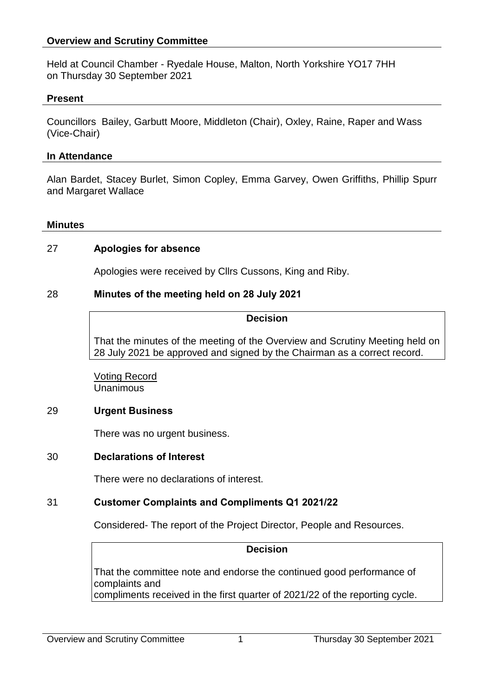### **Overview and Scrutiny Committee**

Held at Council Chamber - Ryedale House, Malton, North Yorkshire YO17 7HH on Thursday 30 September 2021

### **Present**

Councillors Bailey, Garbutt Moore, Middleton (Chair), Oxley, Raine, Raper and Wass (Vice-Chair)

### **In Attendance**

Alan Bardet, Stacey Burlet, Simon Copley, Emma Garvey, Owen Griffiths, Phillip Spurr and Margaret Wallace

#### **Minutes**

## 27 **Apologies for absence**

Apologies were received by Cllrs Cussons, King and Riby.

### 28 **Minutes of the meeting held on 28 July 2021**

### **Decision**

That the minutes of the meeting of the Overview and Scrutiny Meeting held on 28 July 2021 be approved and signed by the Chairman as a correct record.

Voting Record Unanimous

## 29 **Urgent Business**

There was no urgent business.

## 30 **Declarations of Interest**

There were no declarations of interest.

## 31 **Customer Complaints and Compliments Q1 2021/22**

Considered- The report of the Project Director, People and Resources.

#### **Decision**

That the committee note and endorse the continued good performance of complaints and compliments received in the first quarter of 2021/22 of the reporting cycle.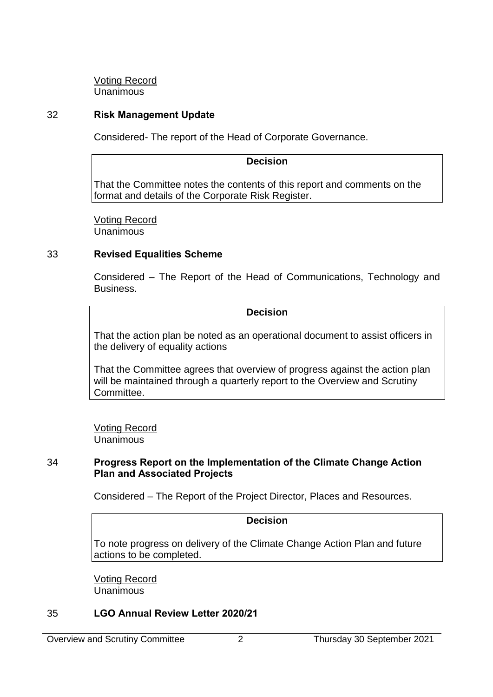Voting Record **Unanimous** 

# 32 **Risk Management Update**

Considered- The report of the Head of Corporate Governance.

## **Decision**

That the Committee notes the contents of this report and comments on the format and details of the Corporate Risk Register.

Voting Record **Unanimous** 

# 33 **Revised Equalities Scheme**

Considered – The Report of the Head of Communications, Technology and Business.

### **Decision**

That the action plan be noted as an operational document to assist officers in the delivery of equality actions

That the Committee agrees that overview of progress against the action plan will be maintained through a quarterly report to the Overview and Scrutiny Committee.

Voting Record Unanimous

## 34 **Progress Report on the Implementation of the Climate Change Action Plan and Associated Projects**

Considered – The Report of the Project Director, Places and Resources.

## **Decision**

To note progress on delivery of the Climate Change Action Plan and future actions to be completed.

Voting Record **Unanimous** 

# 35 **LGO Annual Review Letter 2020/21**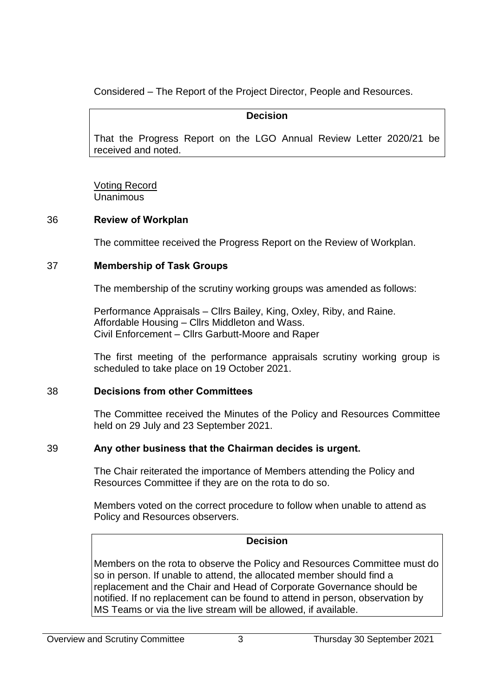Considered – The Report of the Project Director, People and Resources.

## **Decision**

That the Progress Report on the LGO Annual Review Letter 2020/21 be received and noted.

Voting Record Unanimous

# 36 **Review of Workplan**

The committee received the Progress Report on the Review of Workplan.

# 37 **Membership of Task Groups**

The membership of the scrutiny working groups was amended as follows:

Performance Appraisals – Cllrs Bailey, King, Oxley, Riby, and Raine. Affordable Housing – Cllrs Middleton and Wass. Civil Enforcement – Cllrs Garbutt-Moore and Raper

The first meeting of the performance appraisals scrutiny working group is scheduled to take place on 19 October 2021.

# 38 **Decisions from other Committees**

The Committee received the Minutes of the Policy and Resources Committee held on 29 July and 23 September 2021.

# 39 **Any other business that the Chairman decides is urgent.**

The Chair reiterated the importance of Members attending the Policy and Resources Committee if they are on the rota to do so.

Members voted on the correct procedure to follow when unable to attend as Policy and Resources observers.

# **Decision**

Members on the rota to observe the Policy and Resources Committee must do so in person. If unable to attend, the allocated member should find a replacement and the Chair and Head of Corporate Governance should be notified. If no replacement can be found to attend in person, observation by MS Teams or via the live stream will be allowed, if available.